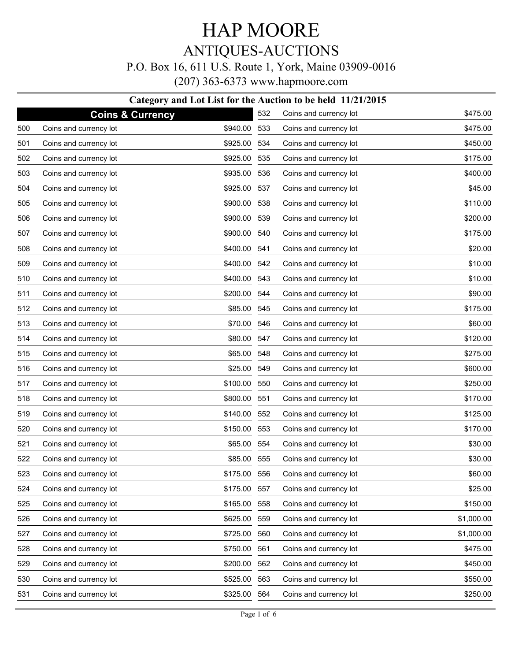## HAP MOORE ANTIQUES-AUCTIONS

### P.O. Box 16, 611 U.S. Route 1, York, Maine 03909-0016

(207) 363-6373 www.hapmoore.com

#### **Category and Lot List for the Auction to be held 11/21/2015**

|     |                             | Category and Lot List for the Auction |     |                        |            |
|-----|-----------------------------|---------------------------------------|-----|------------------------|------------|
|     | <b>Coins &amp; Currency</b> |                                       | 532 | Coins and currency lot | \$475.00   |
| 500 | Coins and currency lot      | \$940.00                              | 533 | Coins and currency lot | \$475.00   |
| 501 | Coins and currency lot      | \$925.00                              | 534 | Coins and currency lot | \$450.00   |
| 502 | Coins and currency lot      | \$925.00 535                          |     | Coins and currency lot | \$175.00   |
| 503 | Coins and currency lot      | \$935.00                              | 536 | Coins and currency lot | \$400.00   |
| 504 | Coins and currency lot      | \$925.00 537                          |     | Coins and currency lot | \$45.00    |
| 505 | Coins and currency lot      | \$900.00                              | 538 | Coins and currency lot | \$110.00   |
| 506 | Coins and currency lot      | \$900.00 539                          |     | Coins and currency lot | \$200.00   |
| 507 | Coins and currency lot      | \$900.00                              | 540 | Coins and currency lot | \$175.00   |
| 508 | Coins and currency lot      | \$400.00 541                          |     | Coins and currency lot | \$20.00    |
| 509 | Coins and currency lot      | \$400.00                              | 542 | Coins and currency lot | \$10.00    |
| 510 | Coins and currency lot      | \$400.00 543                          |     | Coins and currency lot | \$10.00    |
| 511 | Coins and currency lot      | \$200.00                              | 544 | Coins and currency lot | \$90.00    |
| 512 | Coins and currency lot      | \$85.00 545                           |     | Coins and currency lot | \$175.00   |
| 513 | Coins and currency lot      | \$70.00                               | 546 | Coins and currency lot | \$60.00    |
| 514 | Coins and currency lot      | \$80.00 547                           |     | Coins and currency lot | \$120.00   |
| 515 | Coins and currency lot      | \$65.00 548                           |     | Coins and currency lot | \$275.00   |
| 516 | Coins and currency lot      | \$25.00 549                           |     | Coins and currency lot | \$600.00   |
| 517 | Coins and currency lot      | \$100.00                              | 550 | Coins and currency lot | \$250.00   |
| 518 | Coins and currency lot      | \$800.00                              | 551 | Coins and currency lot | \$170.00   |
| 519 | Coins and currency lot      | \$140.00                              | 552 | Coins and currency lot | \$125.00   |
| 520 | Coins and currency lot      | \$150.00                              | 553 | Coins and currency lot | \$170.00   |
| 521 | Coins and currency lot      | \$65.00                               | 554 | Coins and currency lot | \$30.00    |
| 522 | Coins and currency lot      | \$85.00                               | 555 | Coins and currency lot | \$30.00    |
| 523 | Coins and currency lot      | \$175.00                              | 556 | Coins and currency lot | \$60.00    |
| 524 | Coins and currency lot      | \$175.00 557                          |     | Coins and currency lot | \$25.00    |
| 525 | Coins and currency lot      | \$165.00 558                          |     | Coins and currency lot | \$150.00   |
| 526 | Coins and currency lot      | \$625.00 559                          |     | Coins and currency lot | \$1,000.00 |
| 527 | Coins and currency lot      | \$725.00 560                          |     | Coins and currency lot | \$1,000.00 |
| 528 | Coins and currency lot      | \$750.00                              | 561 | Coins and currency lot | \$475.00   |
| 529 | Coins and currency lot      | \$200.00 562                          |     | Coins and currency lot | \$450.00   |
| 530 | Coins and currency lot      | \$525.00 563                          |     | Coins and currency lot | \$550.00   |
| 531 | Coins and currency lot      | \$325.00 564                          |     | Coins and currency lot | \$250.00   |
|     |                             |                                       |     |                        |            |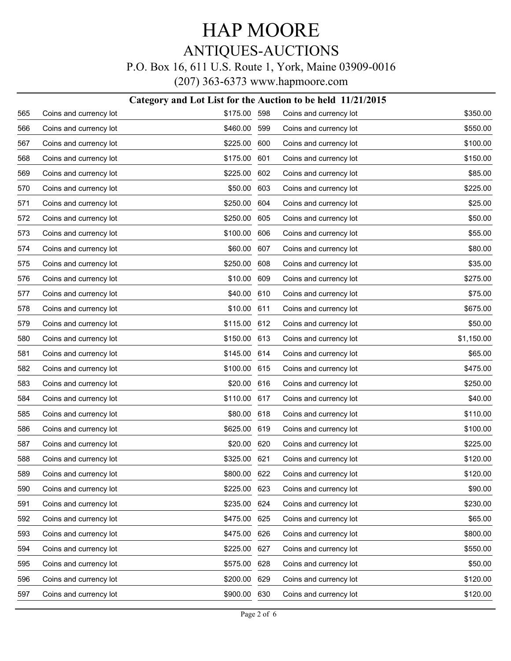## HAP MOORE ANTIQUES-AUCTIONS P.O. Box 16, 611 U.S. Route 1, York, Maine 03909-0016

(207) 363-6373 www.hapmoore.com

|     |                        | Category and Lot List for the Auction to be held 11/21/2015 |     |                        |            |
|-----|------------------------|-------------------------------------------------------------|-----|------------------------|------------|
| 565 | Coins and currency lot | \$175.00                                                    | 598 | Coins and currency lot | \$350.00   |
| 566 | Coins and currency lot | \$460.00                                                    | 599 | Coins and currency lot | \$550.00   |
| 567 | Coins and currency lot | \$225.00                                                    | 600 | Coins and currency lot | \$100.00   |
| 568 | Coins and currency lot | \$175.00                                                    | 601 | Coins and currency lot | \$150.00   |
| 569 | Coins and currency lot | \$225.00                                                    | 602 | Coins and currency lot | \$85.00    |
| 570 | Coins and currency lot | \$50.00                                                     | 603 | Coins and currency lot | \$225.00   |
| 571 | Coins and currency lot | \$250.00                                                    | 604 | Coins and currency lot | \$25.00    |
| 572 | Coins and currency lot | \$250.00                                                    | 605 | Coins and currency lot | \$50.00    |
| 573 | Coins and currency lot | \$100.00                                                    | 606 | Coins and currency lot | \$55.00    |
| 574 | Coins and currency lot | \$60.00                                                     | 607 | Coins and currency lot | \$80.00    |
| 575 | Coins and currency lot | \$250.00                                                    | 608 | Coins and currency lot | \$35.00    |
| 576 | Coins and currency lot | \$10.00                                                     | 609 | Coins and currency lot | \$275.00   |
| 577 | Coins and currency lot | \$40.00                                                     | 610 | Coins and currency lot | \$75.00    |
| 578 | Coins and currency lot | \$10.00                                                     | 611 | Coins and currency lot | \$675.00   |
| 579 | Coins and currency lot | \$115.00                                                    | 612 | Coins and currency lot | \$50.00    |
| 580 | Coins and currency lot | \$150.00                                                    | 613 | Coins and currency lot | \$1,150.00 |
| 581 | Coins and currency lot | \$145.00                                                    | 614 | Coins and currency lot | \$65.00    |
| 582 | Coins and currency lot | \$100.00                                                    | 615 | Coins and currency lot | \$475.00   |
| 583 | Coins and currency lot | \$20.00                                                     | 616 | Coins and currency lot | \$250.00   |
| 584 | Coins and currency lot | \$110.00                                                    | 617 | Coins and currency lot | \$40.00    |
| 585 | Coins and currency lot | \$80.00                                                     | 618 | Coins and currency lot | \$110.00   |
| 586 | Coins and currency lot | \$625.00                                                    | 619 | Coins and currency lot | \$100.00   |
| 587 | Coins and currency lot | \$20.00                                                     | 620 | Coins and currency lot | \$225.00   |
| 588 | Coins and currency lot | \$325.00                                                    | 621 | Coins and currency lot | \$120.00   |
| 589 | Coins and currency lot | \$800.00 622                                                |     | Coins and currency lot | \$120.00   |
| 590 | Coins and currency lot | \$225.00                                                    | 623 | Coins and currency lot | \$90.00    |
| 591 | Coins and currency lot | \$235.00                                                    | 624 | Coins and currency lot | \$230.00   |
| 592 | Coins and currency lot | \$475.00                                                    | 625 | Coins and currency lot | \$65.00    |
| 593 | Coins and currency lot | \$475.00                                                    | 626 | Coins and currency lot | \$800.00   |
| 594 | Coins and currency lot | \$225.00                                                    | 627 | Coins and currency lot | \$550.00   |
| 595 | Coins and currency lot | \$575.00                                                    | 628 | Coins and currency lot | \$50.00    |
| 596 | Coins and currency lot | \$200.00                                                    | 629 | Coins and currency lot | \$120.00   |
| 597 | Coins and currency lot | \$900.00                                                    | 630 | Coins and currency lot | \$120.00   |
|     |                        |                                                             |     |                        |            |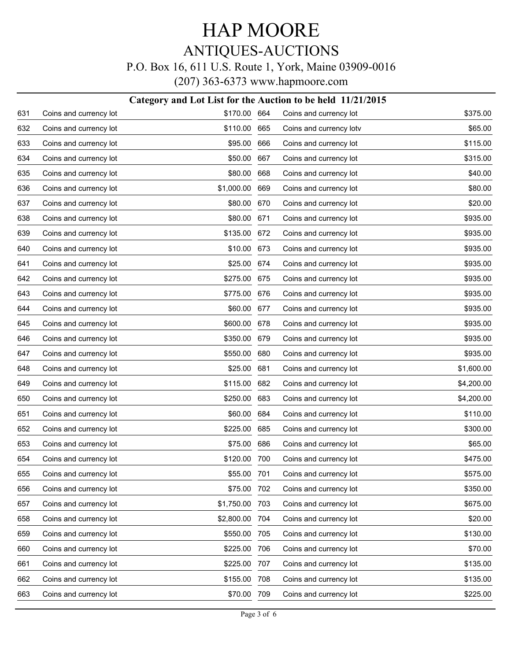## HAP MOORE ANTIQUES-AUCTIONS P.O. Box 16, 611 U.S. Route 1, York, Maine 03909-0016

(207) 363-6373 www.hapmoore.com

|     | Category and Lot List for the Auction to be held 11/21/2015 |            |     |                         |            |  |
|-----|-------------------------------------------------------------|------------|-----|-------------------------|------------|--|
| 631 | Coins and currency lot                                      | \$170.00   | 664 | Coins and currency lot  | \$375.00   |  |
| 632 | Coins and currency lot                                      | \$110.00   | 665 | Coins and currency lotv | \$65.00    |  |
| 633 | Coins and currency lot                                      | \$95.00    | 666 | Coins and currency lot  | \$115.00   |  |
| 634 | Coins and currency lot                                      | \$50.00    | 667 | Coins and currency lot  | \$315.00   |  |
| 635 | Coins and currency lot                                      | \$80.00    | 668 | Coins and currency lot  | \$40.00    |  |
| 636 | Coins and currency lot                                      | \$1,000.00 | 669 | Coins and currency lot  | \$80.00    |  |
| 637 | Coins and currency lot                                      | \$80.00    | 670 | Coins and currency lot  | \$20.00    |  |
| 638 | Coins and currency lot                                      | \$80.00    | 671 | Coins and currency lot  | \$935.00   |  |
| 639 | Coins and currency lot                                      | \$135.00   | 672 | Coins and currency lot  | \$935.00   |  |
| 640 | Coins and currency lot                                      | \$10.00    | 673 | Coins and currency lot  | \$935.00   |  |
| 641 | Coins and currency lot                                      | \$25.00    | 674 | Coins and currency lot  | \$935.00   |  |
| 642 | Coins and currency lot                                      | \$275.00   | 675 | Coins and currency lot  | \$935.00   |  |
| 643 | Coins and currency lot                                      | \$775.00   | 676 | Coins and currency lot  | \$935.00   |  |
| 644 | Coins and currency lot                                      | \$60.00    | 677 | Coins and currency lot  | \$935.00   |  |
| 645 | Coins and currency lot                                      | \$600.00   | 678 | Coins and currency lot  | \$935.00   |  |
| 646 | Coins and currency lot                                      | \$350.00   | 679 | Coins and currency lot  | \$935.00   |  |
| 647 | Coins and currency lot                                      | \$550.00   | 680 | Coins and currency lot  | \$935.00   |  |
| 648 | Coins and currency lot                                      | \$25.00    | 681 | Coins and currency lot  | \$1,600.00 |  |
| 649 | Coins and currency lot                                      | \$115.00   | 682 | Coins and currency lot  | \$4,200.00 |  |
| 650 | Coins and currency lot                                      | \$250.00   | 683 | Coins and currency lot  | \$4,200.00 |  |
| 651 | Coins and currency lot                                      | \$60.00    | 684 | Coins and currency lot  | \$110.00   |  |
| 652 | Coins and currency lot                                      | \$225.00   | 685 | Coins and currency lot  | \$300.00   |  |
| 653 | Coins and currency lot                                      | \$75.00    | 686 | Coins and currency lot  | \$65.00    |  |
| 654 | Coins and currency lot                                      | \$120.00   | 700 | Coins and currency lot  | \$475.00   |  |
| 655 | Coins and currency lot                                      | \$55.00    | 701 | Coins and currency lot  | \$575.00   |  |
| 656 | Coins and currency lot                                      | \$75.00    | 702 | Coins and currency lot  | \$350.00   |  |
| 657 | Coins and currency lot                                      | \$1,750.00 | 703 | Coins and currency lot  | \$675.00   |  |
| 658 | Coins and currency lot                                      | \$2,800.00 | 704 | Coins and currency lot  | \$20.00    |  |
| 659 | Coins and currency lot                                      | \$550.00   | 705 | Coins and currency lot  | \$130.00   |  |
| 660 | Coins and currency lot                                      | \$225.00   | 706 | Coins and currency lot  | \$70.00    |  |
| 661 | Coins and currency lot                                      | \$225.00   | 707 | Coins and currency lot  | \$135.00   |  |
| 662 | Coins and currency lot                                      | \$155.00   | 708 | Coins and currency lot  | \$135.00   |  |
| 663 | Coins and currency lot                                      | \$70.00    | 709 | Coins and currency lot  | \$225.00   |  |
|     |                                                             |            |     |                         |            |  |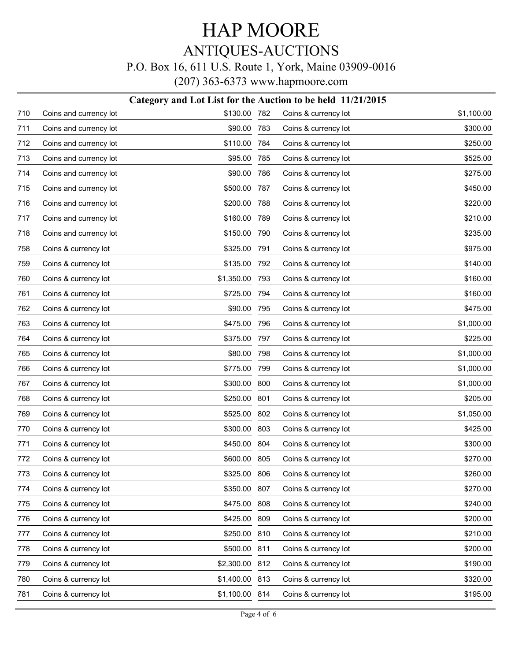# HAP MOORE ANTIQUES-AUCTIONS

### P.O. Box 16, 611 U.S. Route 1, York, Maine 03909-0016

(207) 363-6373 www.hapmoore.com

|     | Category and Lot List for the Auction to be held 11/21/2015 |                |     |                      |            |  |
|-----|-------------------------------------------------------------|----------------|-----|----------------------|------------|--|
| 710 | Coins and currency lot                                      | \$130.00       | 782 | Coins & currency lot | \$1,100.00 |  |
| 711 | Coins and currency lot                                      | \$90.00        | 783 | Coins & currency lot | \$300.00   |  |
| 712 | Coins and currency lot                                      | \$110.00       | 784 | Coins & currency lot | \$250.00   |  |
| 713 | Coins and currency lot                                      | \$95.00        | 785 | Coins & currency lot | \$525.00   |  |
| 714 | Coins and currency lot                                      | \$90.00        | 786 | Coins & currency lot | \$275.00   |  |
| 715 | Coins and currency lot                                      | \$500.00       | 787 | Coins & currency lot | \$450.00   |  |
| 716 | Coins and currency lot                                      | \$200.00       | 788 | Coins & currency lot | \$220.00   |  |
| 717 | Coins and currency lot                                      | \$160.00       | 789 | Coins & currency lot | \$210.00   |  |
| 718 | Coins and currency lot                                      | \$150.00       | 790 | Coins & currency lot | \$235.00   |  |
| 758 | Coins & currency lot                                        | \$325.00       | 791 | Coins & currency lot | \$975.00   |  |
| 759 | Coins & currency lot                                        | \$135.00       | 792 | Coins & currency lot | \$140.00   |  |
| 760 | Coins & currency lot                                        | \$1,350.00     | 793 | Coins & currency lot | \$160.00   |  |
| 761 | Coins & currency lot                                        | \$725.00       | 794 | Coins & currency lot | \$160.00   |  |
| 762 | Coins & currency lot                                        | \$90.00        | 795 | Coins & currency lot | \$475.00   |  |
| 763 | Coins & currency lot                                        | \$475.00       | 796 | Coins & currency lot | \$1,000.00 |  |
| 764 | Coins & currency lot                                        | \$375.00       | 797 | Coins & currency lot | \$225.00   |  |
| 765 | Coins & currency lot                                        | \$80.00        | 798 | Coins & currency lot | \$1,000.00 |  |
| 766 | Coins & currency lot                                        | \$775.00       | 799 | Coins & currency lot | \$1,000.00 |  |
| 767 | Coins & currency lot                                        | \$300.00       | 800 | Coins & currency lot | \$1,000.00 |  |
| 768 | Coins & currency lot                                        | \$250.00       | 801 | Coins & currency lot | \$205.00   |  |
| 769 | Coins & currency lot                                        | \$525.00       | 802 | Coins & currency lot | \$1,050.00 |  |
| 770 | Coins & currency lot                                        | \$300.00       | 803 | Coins & currency lot | \$425.00   |  |
| 771 | Coins & currency lot                                        | \$450.00       | 804 | Coins & currency lot | \$300.00   |  |
| 772 | Coins & currency lot                                        | \$600.00       | 805 | Coins & currency lot | \$270.00   |  |
| 773 | Coins & currency lot                                        | \$325.00 806   |     | Coins & currency lot | \$260.00   |  |
| 774 | Coins & currency lot                                        | \$350.00       | 807 | Coins & currency lot | \$270.00   |  |
| 775 | Coins & currency lot                                        | \$475.00       | 808 | Coins & currency lot | \$240.00   |  |
| 776 | Coins & currency lot                                        | \$425.00       | 809 | Coins & currency lot | \$200.00   |  |
| 777 | Coins & currency lot                                        | \$250.00       | 810 | Coins & currency lot | \$210.00   |  |
| 778 | Coins & currency lot                                        | \$500.00       | 811 | Coins & currency lot | \$200.00   |  |
| 779 | Coins & currency lot                                        | \$2,300.00     | 812 | Coins & currency lot | \$190.00   |  |
| 780 | Coins & currency lot                                        | \$1,400.00 813 |     | Coins & currency lot | \$320.00   |  |
| 781 | Coins & currency lot                                        | \$1,100.00 814 |     | Coins & currency lot | \$195.00   |  |
|     |                                                             |                |     |                      |            |  |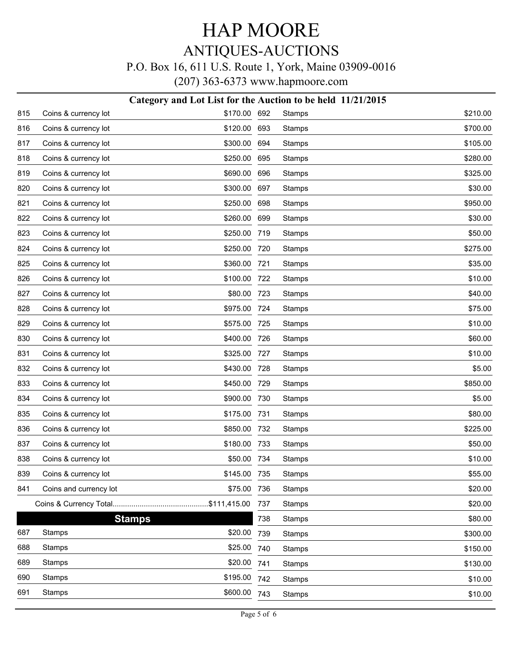# HAP MOORE

### ANTIQUES-AUCTIONS

#### P.O. Box 16, 611 U.S. Route 1, York, Maine 03909-0016

(207) 363-6373 www.hapmoore.com

#### **Category and Lot List for the Auction to be held 11/21/2015**

| 815 | Coins & currency lot   | \$170.00 | 692   | Stamps        | \$210.00 |
|-----|------------------------|----------|-------|---------------|----------|
| 816 | Coins & currency lot   | \$120.00 | 693   | <b>Stamps</b> | \$700.00 |
| 817 | Coins & currency lot   | \$300.00 | 694   | <b>Stamps</b> | \$105.00 |
| 818 | Coins & currency lot   | \$250.00 | 695   | Stamps        | \$280.00 |
| 819 | Coins & currency lot   | \$690.00 | 696   | <b>Stamps</b> | \$325.00 |
| 820 | Coins & currency lot   | \$300.00 | 697   | Stamps        | \$30.00  |
| 821 | Coins & currency lot   | \$250.00 | 698   | <b>Stamps</b> | \$950.00 |
| 822 | Coins & currency lot   | \$260.00 | 699   | Stamps        | \$30.00  |
| 823 | Coins & currency lot   | \$250.00 | 719   | <b>Stamps</b> | \$50.00  |
| 824 | Coins & currency lot   | \$250.00 | 720   | Stamps        | \$275.00 |
| 825 | Coins & currency lot   | \$360.00 | 721   | <b>Stamps</b> | \$35.00  |
| 826 | Coins & currency lot   | \$100.00 | 722   | Stamps        | \$10.00  |
| 827 | Coins & currency lot   | \$80.00  | 723   | <b>Stamps</b> | \$40.00  |
| 828 | Coins & currency lot   | \$975.00 | 724   | Stamps        | \$75.00  |
| 829 | Coins & currency lot   | \$575.00 | 725   | <b>Stamps</b> | \$10.00  |
| 830 | Coins & currency lot   | \$400.00 | 726   | Stamps        | \$60.00  |
| 831 | Coins & currency lot   | \$325.00 | 727   | <b>Stamps</b> | \$10.00  |
| 832 | Coins & currency lot   | \$430.00 | 728   | Stamps        | \$5.00   |
| 833 | Coins & currency lot   | \$450.00 | 729   | <b>Stamps</b> | \$850.00 |
| 834 | Coins & currency lot   | \$900.00 | 730   | Stamps        | \$5.00   |
| 835 | Coins & currency lot   | \$175.00 | 731   | <b>Stamps</b> | \$80.00  |
| 836 | Coins & currency lot   | \$850.00 | 732   | Stamps        | \$225.00 |
| 837 | Coins & currency lot   | \$180.00 | 733   | <b>Stamps</b> | \$50.00  |
| 838 | Coins & currency lot   | \$50.00  | 734   | Stamps        | \$10.00  |
| 839 | Coins & currency lot   | \$145.00 | - 735 | <b>Stamps</b> | \$55.00  |
| 841 | Coins and currency lot | \$75.00  | 736   | Stamps        | \$20.00  |
|     |                        |          | 737   | Stamps        | \$20.00  |
|     | <b>Stamps</b>          |          | 738   | Stamps        | \$80.00  |
| 687 | <b>Stamps</b>          | \$20.00  | 739   | Stamps        | \$300.00 |
| 688 | Stamps                 | \$25.00  | 740   | Stamps        | \$150.00 |
| 689 | Stamps                 | \$20.00  | 741   | Stamps        | \$130.00 |
| 690 | Stamps                 | \$195.00 | 742   | <b>Stamps</b> | \$10.00  |
| 691 | <b>Stamps</b>          | \$600.00 | 743   | Stamps        | \$10.00  |
|     |                        |          |       |               |          |